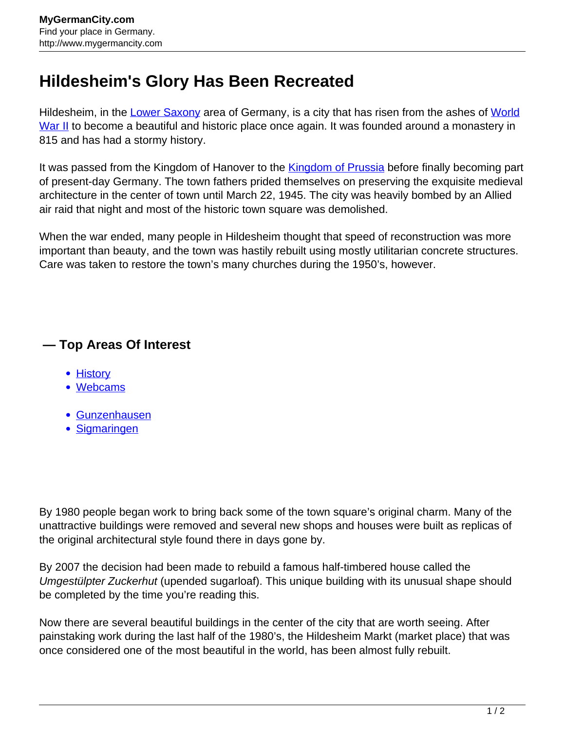## **Hildesheim's Glory Has Been Recreated**

Hildesheim, in the [Lower Saxony](http://www.mygermancity.com/lower-saxony) area of Germany, is a city that has risen from the ashes of [World](http://www.mygermancity.com/world-war-ii) [War II](http://www.mygermancity.com/world-war-ii) to become a beautiful and historic place once again. It was founded around a monastery in 815 and has had a stormy history.

It was passed from the Kingdom of Hanover to the **Kingdom of Prussia** before finally becoming part of present-day Germany. The town fathers prided themselves on preserving the exquisite medieval architecture in the center of town until March 22, 1945. The city was heavily bombed by an Allied air raid that night and most of the historic town square was demolished.

When the war ended, many people in Hildesheim thought that speed of reconstruction was more important than beauty, and the town was hastily rebuilt using mostly utilitarian concrete structures. Care was taken to restore the town's many churches during the 1950's, however.

## **— Top Areas Of Interest**

- [History](http://www.mygermancity.com/leipzig-history)
- [Webcams](http://www.mygermancity.com/neustadt-holstein-webcams)
- [Gunzenhausen](http://www.mygermancity.com/gunzenhausen)
- [Sigmaringen](http://www.mygermancity.com/sigmaringen)

By 1980 people began work to bring back some of the town square's original charm. Many of the unattractive buildings were removed and several new shops and houses were built as replicas of the original architectural style found there in days gone by.

By 2007 the decision had been made to rebuild a famous half-timbered house called the Umgestülpter Zuckerhut (upended sugarloaf). This unique building with its unusual shape should be completed by the time you're reading this.

Now there are several beautiful buildings in the center of the city that are worth seeing. After painstaking work during the last half of the 1980's, the Hildesheim Markt (market place) that was once considered one of the most beautiful in the world, has been almost fully rebuilt.